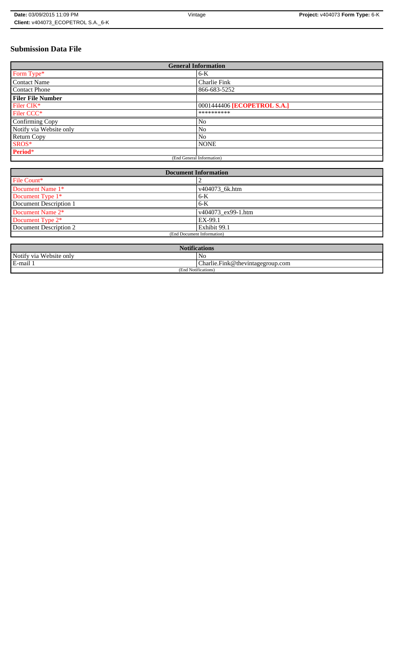# **Submission Data File**

| <b>General Information</b> |                             |
|----------------------------|-----------------------------|
| Form Type*                 | $6-K$                       |
| <b>Contact Name</b>        | <b>Charlie Fink</b>         |
| <b>Contact Phone</b>       | 866-683-5252                |
| <b>Filer File Number</b>   |                             |
| Filer CIK*                 | 0001444406 [ECOPETROL S.A.] |
| Filer CCC*                 | **********                  |
| Confirming Copy            | No                          |
| Notify via Website only    | N <sub>o</sub>              |
| <b>Return Copy</b>         | N <sub>o</sub>              |
| SROS*                      | <b>NONE</b>                 |
| Period*                    |                             |
| (End General Information)  |                             |

| <b>Document Information</b>  |                    |
|------------------------------|--------------------|
| File Count*                  |                    |
| Document Name 1*             | v404073 6k.htm     |
| Document Type 1*             | $6-K$              |
| Document Description 1       | $6-K$              |
| Document Name 2*             | v404073 ex99-1.htm |
| Document Type 2 <sup>*</sup> | EX-99.1            |
| Document Description 2       | Exhibit 99.1       |
| (End Document Information)   |                    |
|                              |                    |

| <b>Notifications</b>    |                                  |
|-------------------------|----------------------------------|
| Notify via Website only | N0                               |
| E-mail 1                | Charlie.Fink@thevintagegroup.com |
| (End Notifications)     |                                  |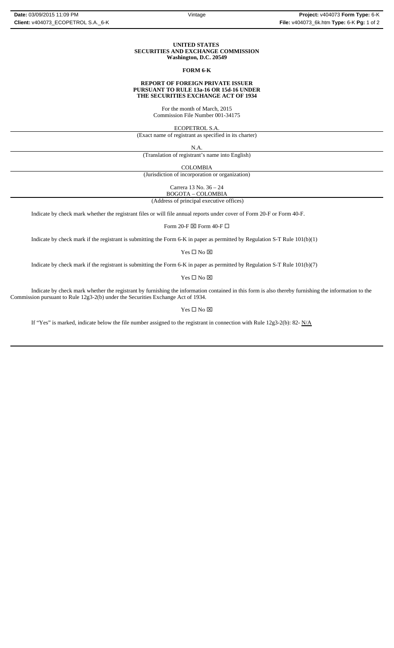#### **UNITED STATES SECURITIES AND EXCHANGE COMMISSION Washington, D.C. 20549**

## **FORM 6-K**

#### **REPORT OF FOREIGN PRIVATE ISSUER PURSUANT TO RULE 13a-16 OR 15d-16 UNDER THE SECURITIES EXCHANGE ACT OF 1934**

For the month of March, 2015 Commission File Number 001-34175

ECOPETROL S.A.

(Exact name of registrant as specified in its charter)

N.A.

(Translation of registrant's name into English)

COLOMBIA

(Jurisdiction of incorporation or organization)

Carrera 13 No. 36 – 24

 (Address of principal executive offices) BOGOTA – COLOMBIA

Indicate by check mark whether the registrant files or will file annual reports under cover of Form 20-F or Form 40-F.

Form 20-F  $\boxtimes$  Form 40-F  $\Box$ 

Indicate by check mark if the registrant is submitting the Form 6-K in paper as permitted by Regulation S-T Rule 101(b)(1)

Yes $\square$  No  $\square$ 

Indicate by check mark if the registrant is submitting the Form 6-K in paper as permitted by Regulation S-T Rule 101(b)(7)

Yes □ No ⊠

Indicate by check mark whether the registrant by furnishing the information contained in this form is also thereby furnishing the information to the Commission pursuant to Rule 12g3-2(b) under the Securities Exchange Act of 1934.

 $\mathbf{Yes} \ \square \ \mathbf{No} \ \boxtimes$ 

If "Yes" is marked, indicate below the file number assigned to the registrant in connection with Rule  $12g3-2(b)$ : 82- N/A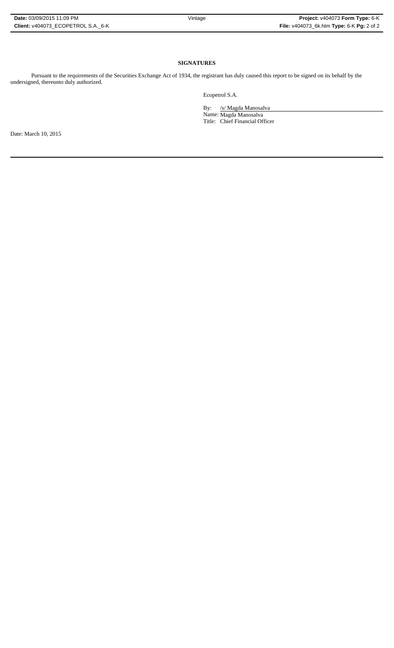# **SIGNATURES**

Pursuant to the requirements of the Securities Exchange Act of 1934, the registrant has duly caused this report to be signed on its behalf by the undersigned, thereunto duly authorized.

Ecopetrol S.A.

By: /s/ Magda Manosalva

Name: Magda Manosalva Title: Chief Financial Officer

Date: March 10, 2015